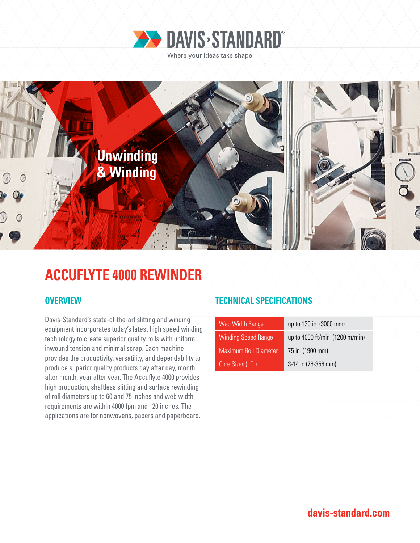



## **ACCUFLYTE 4000 REWINDER**

Davis-Standard's state-of-the-art slitting and winding equipment incorporates today's latest high speed winding technology to create superior quality rolls with uniform inwound tension and minimal scrap. Each machine provides the productivity, versatility, and dependability to produce superior quality products day after day, month after month, year after year. The Accuflyte 4000 provides high production, shaftless slitting and surface rewinding of roll diameters up to 60 and 75 inches and web width requirements are within 4000 fpm and 120 inches. The applications are for nonwovens, papers and paperboard.

### **OVERVIEW TECHNICAL SPECIFICATIONS**

| Web Width Range              | up to 120 in (3000 mm)         |
|------------------------------|--------------------------------|
| <b>Winding Speed Range</b>   | up to 4000 ft/min (1200 m/min) |
| <b>Maximum Roll Diameter</b> | 75 in (1900 mm)                |
| Core Sizes (I.D.)            | 3-14 in (76-356 mm)            |